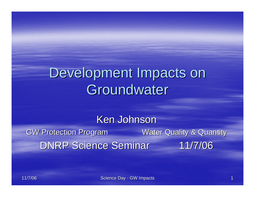# Development Impacts on Groundwater

Ken Johnson GW Protection Program Water Quality & Quantity DNRP Science Seminar 11/7/06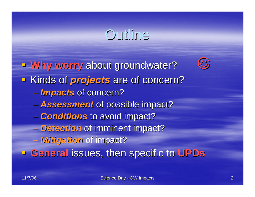## Outline

**Why worry about groundwater? Kinds of** *projects* are of concern? *Impacts Impacts* of concern? of concern? *Assessment Assessment* of possible impact? of possible impact?  $\mathcal{L}_{\mathcal{A}}$  *Conditions Conditions* to avoid impact? to avoid impact? – *Detection Detection* of imminent impact? of imminent impact? *Mitigation Mitigation* of impact? of impact? **General issues, then specific to UPDs** 

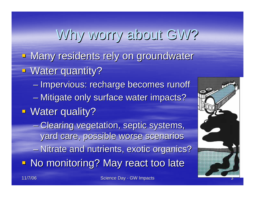# Why worry about GW?

- Many residents rely on groundwater
- **U** Water quantity?

 $\mathcal{L}_{\mathcal{A}}$  , where  $\mathcal{L}_{\mathcal{A}}$  is the set of the set of the set of the set of the set of the set of the set of the set of the set of the set of the set of the set of the set of the set of the set of the set of the – Impervious: recharge becomes runoff

- $\mathcal{L}_{\mathcal{A}}$ – Mitigate only surface water impacts?
- **Water quality?**

–– Clearing vegetation, septic systems, yard care, possible worse scenarios

– Nitrate and nutrients, exotic organics?

**- No monitoring? May react too late** 

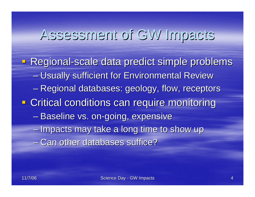#### Assessment of GW Impacts Assessment of GW Impacts

- Regional-scale data predict simple problems – Usually sufficient for Environmental Review – Regional databases: geology, flow, receptors **- Critical conditions can require monitoring** – Baseline vs. on-going, expensive  $-$  Impacts may take a long time to show up - Can other databases suffice?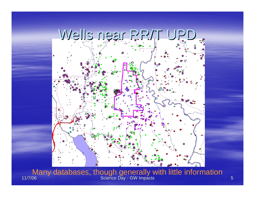

11/7/06 Science Day - GW Impacts GW International Control of the Science Day - GW Impacts Many databases, though generally with little information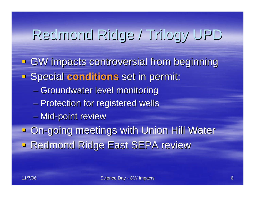# Redmond Ridge / Trilogy UPD Redmond Ridge / Trilogy UPD

**GW** impacts controversial from beginning **Example 2 Special conditions set in permit:**  $\mathcal{L}_{\mathcal{A}}$  , where  $\mathcal{L}_{\mathcal{A}}$  is the set of the set of the set of the set of the set of the set of the set of the set of the set of the set of the set of the set of the set of the set of the set of the set of the – Groundwater level monitoring  $\mathcal{L}_{\mathcal{A}}$ – Protection for registered wells – Mid-point review **Da-going meetings with Union Hill Water B Redmond Ridge East SEPA review**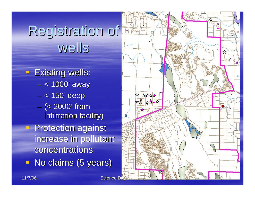# Registration of Registration of wells

**Existing wells:** < 1000' away

 $\mathcal{L}_{\mathcal{A}}$ 

- $\mathcal{L}_{\mathcal{A}}$ < 150' deep
- $\mathcal{L}_{\mathcal{A}}$ – (< 2000' from infiltration facility)
- **Protection against** increase in pollutant increase in pollutant concentrations
- **No claims (5 years)**

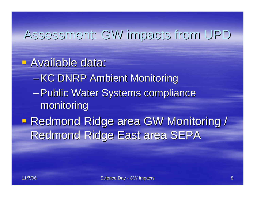#### Assessment: GW impacts Assessment: GW impacts from UPD

**E** Available data:

- **–KC DNRP Ambient Monitoring**
- Public Water Systems compliance monitoring monitoring
- I. **- Redmond Ridge area GW Monitoring /** Redmond Ridge East area SEPA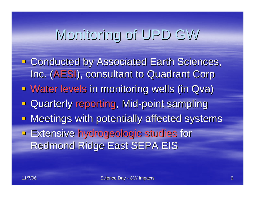# Monitoring of UPD GW Monitoring of UPD GW

**Example 2 Conducted by Associated Earth Sciences,** Inc. (AESI), consultant to Quadrant Corp **E** Water levels in monitoring wells (in Qva) **E** Quarterly reporting, Mid-point sampling **- Meetings with potentially affected systems Extensive hydrogeologic studies for** Redmond Ridge East SEPA EIS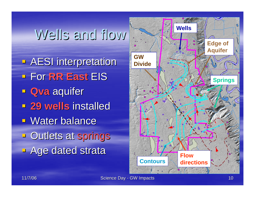### Wells and flow

**- AESI interpretation**  For **RR East RR East** EIS **E** Qva aquifer **29 wells installed E** Water balance **Dutlets at springs Age dated strata** 

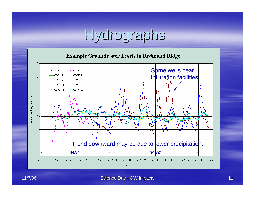# Hydrographs Hydrographs

**Example Groundwater Levels in Redmond Ridge** 



Science Day - GW Impacts GW Impacts And Control Control Control Control Control Control Control Control Control Control Control Control Control Control Control Control Control Control Control Control Control Control Contro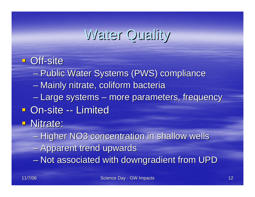## Water Quality

#### Off-site

- $\mathcal{L}_{\mathcal{A}}$ – Public Water Systems (PWS) compliance
- $\mathcal{L}_{\mathcal{A}}$  , where  $\mathcal{L}_{\mathcal{A}}$  is the set of the set of the set of the set of the set of the set of the set of the set of the set of the set of the set of the set of the set of the set of the set of the set of the – Mainly nitrate, coliform bacteria
- –– Large systems – more parameters, frequency
- **On-site -- Limited**
- **Nitrate:** 
	- $-$  Higher NO3 concentration in shallow wells
	- Apparent trend upwards
	- $\mathcal{L}_{\mathcal{A}}$  $-$  Not associated with downgradient from UPD  $\,$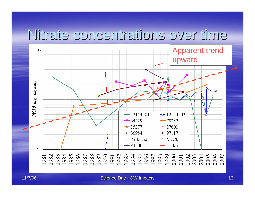#### Nitrate concentrations over time Nitrate concentrations over time



Science Day - GW Impacts GW Impacts 13